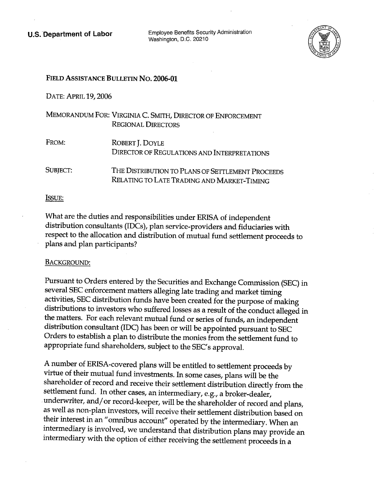**U.S. Department of Labor** Employee Benefits Security Administration Washington, D.C. 20210



# FIELD ASSISTANCE BULLETIN No. 2006-01

DATE: APRIL 19,2006

|          | MEMORANDUM FOR: VIRGINIA C. SMITH, DIRECTOR OF ENFORCEMENT<br><b>REGIONAL DIRECTORS</b>        |
|----------|------------------------------------------------------------------------------------------------|
| FROM:    | ROBERT J. DOYLE<br>DIRECTOR OF REGULATIONS AND INTERPRETATIONS                                 |
| SUBJECT: | THE DISTRIBUTION TO PLANS OF SETTLEMENT PROCEEDS<br>RELATING TO LATE TRADING AND MARKET-TIMING |

### ISSUE:

What are the duties and responsibilities under ERISA of independent distribution consultants (IDCs), plan service-providers and fiduciaries with respect to the allocation and distribution of mutual fund settlement proceeds to plans and plan participants?

# BACKGROUND:

Pursuant to Orders entered by the Securities and Exchange Commission (SEC) in several SEC enforcement matters alleging late trading and market timing activities, SEC distribution funds have been created for the purpose of making distributions to investors who suffered losses as a result of the conduct alleged in the matters. For each relevant mutual fund or series of funds, an independent distribution consultant (IDC) has been or will be appointed pursuant to SEC Orders to establish a plan to distribute the monies from the settlement fund to appropriate fund shareholders, subject to the SEC's approval.

A number of ERISA-covered plans will be entitled to settlement proceeds by virtue of their mutual fund investments. In some cases, plans will be the shareholder of record and receive their settlement distribution directly from the settlement fund. In other cases, an intermediary, e.g., a broker-dealer, underwriter, and/ or record-keeper, will be the shareholder of record and plans, as well as non-plan investors, will receive their settlement distribution based on their interest in an "omnibus account" operated by the intermediary. When an intermediary is involved, we understand that distribution plans may provide an intermediary with the option of either receiving the settlement proceeds in a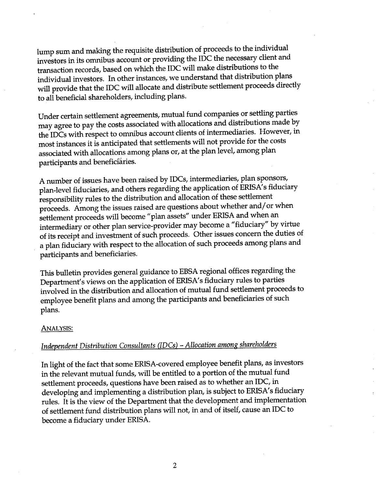lump sum and making the requisite distribution of proceeds to the individual investors in its omnibus account or providing the IDC the necessary client and transaction records, based on which the IDC will make distributions to the individual investors. In other instances, we understand that distribution plans will provide that the IDC will allocate and distribute settlement proceeds directly to all beneficial shareholders, including plans.

Under certain settlement agreements, mutual fund companies or settling parties may agree to pay the costs associated with allocations and distributions made by the IDCs with respect to omnibus account clients of intermediaries. However, in most instances it is anticipated that settlements will not provide for the costs associated with allocations among plans or, at the plan level, among plan participants and beneficiåries.

A number of issues have been raised by IDCs, intermediaries, plan sponsors, plan-level fiduciaries, and others regarding the application of ERISA's fiduciary responsibility rules to the distribution and allocation of these settlement proceeds. Among the issues raised are questions about whether and/ or when settlement proceeds will become "plan assets" under ERISA and when an intermediary or other plan service-provider may become a "fiduciary" by virtue of its receipt and investment of such proceeds. Other issues concern the duties of a plan fiduciary with respect to the allocation of such proceeds among plans and participants and beneficiaries.

This bulletin provides general guidance to EBSA regional offices regarding the Department's views on the application of ERISA's fiduciary rules to parties involved in the distribution and allocation of mutual fund settlement proceeds to employee benefit plans and among the participants and beneficiaries of such plans.

### ANALYSIS:

# Independent Distribution Consultants (IDCs) - Allocation among shareholders

In light of the fact that some ERISA-covered employee benefit plans, as investors in the relevant mutual funds, will be entitled to a portion of the mutual fund settlement proceeds, questions have been raised as to whether an IDC, in developing and implementing a distribution plan, is subject to ERISA's fiduciary rules. It is the view of the Department that the development and implementation of settlement fund distribution plans will not, in and of itself, cause an IDC to become a fiduciary under ERISA.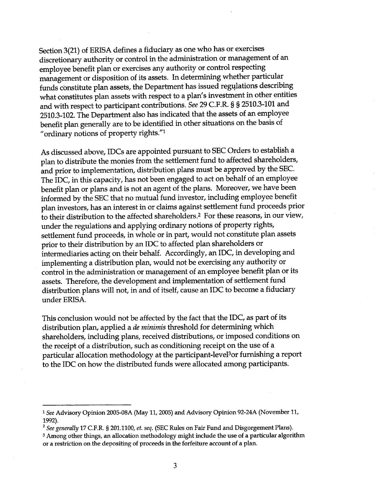Section 3(21) of ERISA defines a fiduciary as one who has or exercises discretionary authority or control in the administration or management of an employee benefit plan or exercises any authority or control respecting management or disposition of its assets. In determining whether particular funds constitute plan assets, the Department has issued regulations describing what constitutes plan assets with respect to a plan's investment in other entities and with respect to participant contributions. See 29 C.F.R. § § 2510.3-101 and 2510.3-102. The Department also has indicated that the assets of an employee benefit plan generally are to be identified in other situations on the basis of "ordinary notions of property rights."<sup>1</sup>

As discussed above, IDCs are appointed pursuant to SEC Orders to establish a plan to distribute the monies from the settlement fund to affected shareholders, and prior to implementation, distribution plans must be approved by the SEC. The IDC, in this capacity, has not been engaged to act on behalf of an employee benefit plan or plans and is not an agent of the plans. Moreover, we have been informed by the SEC that no mutual fund investor, including employee benefit plan investors, has an interest in or claims against settlement fund proceeds prior to their distribution to the affected shareholders.<sup>2</sup> For these reasons, in our view, under the regulations and applying ordinary notions of property rights, settlement fund proceeds, in whole or in part, would not constitute plan assets prior to their distribution by an IDC to affected plan shareholders or intermediaries acting on their behalf. Accordingly, an IDC, in developing and implementing a distribution plan, would not be exercising any authority or control in the administration or management of an employee benefit plan or its assets. Therefore, the development and implementation of settlement fund distribution plans will not, in and of itself, cause an IDC to become a fiduciary under ERISA.

This conclusion would not be affected by the fact that the IDC, as part of its distribution plan, applied a *de minimis* threshold for determining which shareholders, including plans, received distributions, or imposed conditions on the receipt of a distribution, such as conditioning receipt on the use of a particular allocation methodology at the participant-level<sup>3</sup> or furnishing a report to the IDC on how the distributed funds were allocated among participants.

<sup>1</sup> See Advisory Opinion 2005-08A (May 11, 2005) and Advisory Opinion 92-24A (November 11, 1992).<br>1992). . . . 2 See generally 17 C.F.R. § 201.1100, et. seq. (SEC Rules on Fair Fund and Disgorgement Plans).

<sup>&</sup>lt;sup>3</sup> Among other things, an allocation methodology might include the use of a particular algorithm or a restriction on the depositig of proceeds in the forfeiture account of a plan.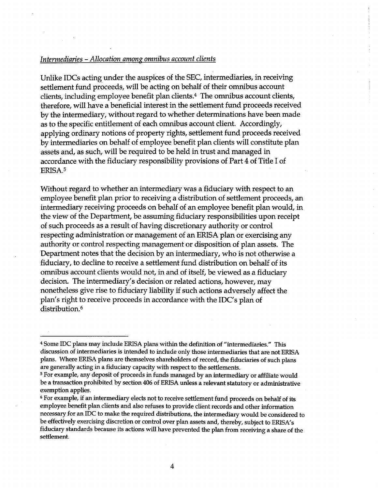# Intermediaries - Allocation among omnibus account clients

Unlike IDCs acting under the auspices of the SEC, intermediaries, in receiving settlement fund proceeds, will be acting on behalf of their omnibus account clients, including employee benefit plan clients. $4$  The omnibus account clients, therefore, will have a beneficial interest in the settlement fund proceeds received by the intermediary, without regard to whether determinations have been made as to the specific entitlement of each omnibus account client. Accordingly, applying ordinary notions of property rights, settlement fund proceeds received by intermediaries on behalf of employee benefit plan clients will constitute plan assets and, as such, will be required to be held in trust and managed in accordance with the fiduciary responsibility provisions of Part 4 of Title I of ERISA.5

Without regard to whether an intermediary was a fiduciary with respect to an employee benefit plan prior to receiving a distribution of settlement proceeds, an intermediary receiving proceeds on behalf of an employee benefit plan would, in the view of the Department, be assuming fiduciary responsibilities upon receipt of such proceeds as a result of having discretionary authority or control respecting administration or management of an ERISA plan or exercising any authority or control respecting management or disposition of plan assets. The Department notes that the decision by an intermediary, who is not otherwise a fiduciary, to decline to receive a settlement fund distribution on behalf of its omnibus account clients would not, in and of itself, be viewed as a fiduciary decision. The intermediary's decision or related actions, however, may nonetheless give rise to fiduciary liability if such actions adversely affect the plan's right to receive proceeds in accordance with the IDC's plan of distribution.<sup>6</sup>

<sup>&</sup>lt;sup>4</sup> Some IDC plans may include ERISA plans within the definition of "intermediaries." This discussion of intermediaries is intended to include only those intermediaries that are not ERISA plans. Where ERISA plans are themselves shareholders of record, the fiduciaries of such plans are generally acting in a fiduciary capacity with respect to the settlements.

<sup>&</sup>lt;sup>5</sup> For example, any deposit of proceeds in funds managed by an intermediary or affiliate would be a transaction prohibited by section 406 of ERISA unless a relevant statutory or administrative exemption applies.

<sup>&</sup>lt;sup>6</sup> For example, if an intermediary elects not to receive settlement fund proceeds on behalf of its employee benefit plan clients and also refuses to provide client records and other information necessary for an IDC to make the required distributions, the intermediary would be considered to be effectively exercising discretion or control over plan assets and, thereby, subject to ERISA's fiduciary standards because its actions will have prevented the plan from receiving a share of the settlement.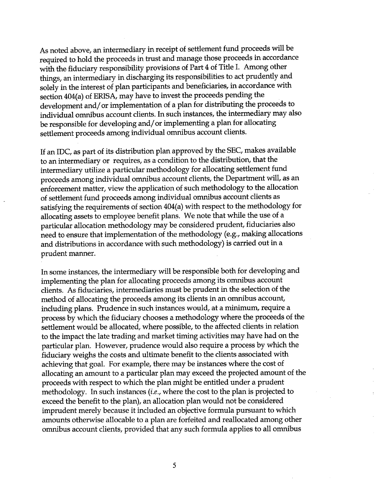As noted above, an intermediary in receipt of settlement fund proceeds will be required to hold the proceeds in trust and manage those proceeds in accordance with the fiduciary responsibility provisions of Part 4 of Title I. Among other things, an intermediary in discharging its responsibilities to act prudently and solely in the interest of plan participants and beneficiaries, in accordance with section 404(a) of ERISA, may have to invest the proceeds pending the development and/ or implementation of a plan for distributing the proceeds to individual omnibus account clients. In such instances, the intermediary may also be responsible for developing and/ or implementing a plan for allocating settlement proceeds among individual omnibus account clients.

If an IDC, as part of its distribution plan approved by the SEC, makes available to an intermediary or requires, as a condition to the distribution, that the intermediary utilize a particular methodology for allocating settlement fund proceeds among individual omnibus account clients, the Department will, as an enforcement matter, view the application of such methodology to the allocation of settlement fund proceeds among individual omnibus account clients as satisfying the requirements of section 404(a) with respect to the methodology for allocating assets to employee benefit plans. We note that while the use of a particular allocation methodology may be considered prudent, fiduciaries also need to ensure that implementation of the methodology (e.g., making allocations and distributions in accordance with such methodology) is carried out in a prudent manner.

In some instances, the intermediary will be responsible both for developing and implementing the plan for allocating proceeds among its omnibus account clients. As fiduciaries, intermediaries must be prudent in the selection of the method of allocating the proceeds among its clients in an omnibus account, including plans. Prudence in such instances would, at a minimum, require a process by which the fiduciary chooses a methodology where the proceeds of the settlement would be allocated, where possible, to the affected clients in relation to the impact the late trading and market timing activities may have had on the particular plan. However, prudence would also require a process by which the fiduciary weighs the costs and ultimate benefit to the clients associated with achieving that goal. For example, there may be instances where the cost of allocating an amount to a particular plan may exceed the projected amount of the proceeds with respect to which the plan might be entitled under a prudent methodology. In such instances (*i.e.*, where the cost to the plan is projected to exceed the benefit to the plan), an allocation plan would not be considered imprudent merely because it included an objective formula pursuant to which amounts otherwise allocable to a plan are forfeited and reallocated among other omnibus account clients, provided that any such formula applies to all omnibus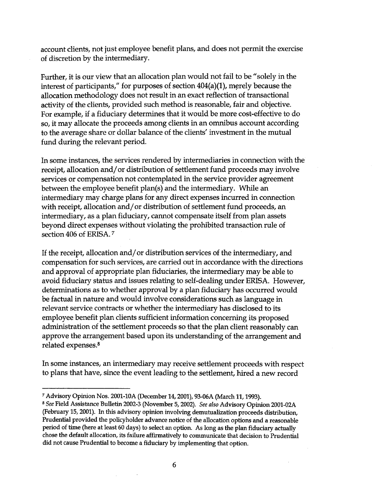account clients, not just employee benefit plans, and does not permit the exercise of discretion by the intermediary.

Further, it is our view that an allocation plan would not fail to be "solely in the interest of participants," for purposes of section  $404(a)(1)$ , merely because the allocation methodology does not result in an exact reflection of transactional activity of the clients, provided such method is reasonable, fair and objective. For example, if a fiduciary determines that it would be more cost-effective to do so, it may allocate the proceeds among clients in an omnibus account according to the average share or dollar balance of the clients' investment in the mutual fund during the relevant period.

In some instances, the services rendered by intermediaries in connection with the receipt, allocation and/ or distribution of settlement fund proceeds may involve services or compensation not contemplated in the service provider agreement between the employee benefit plan(s) and the intermediary. While an intermediary may charge plans for any direct expenses incurred in connection with receipt, allocation and/ or distribution of settlement fund proceeds, an intermediary, as a plan fiduciary, cannot compensate itself from plan assets beyond direct expenses without violating the prohibited transaction rule of section 406 of ERISA.<sup>7</sup>

If the receipt, allocation and/ or distribution services of the intermediary, and compensation for such services, are carried out in accordance with the directions and approval of appropriate plan fiduciaries, the intermediary may be able to avoid fiduciary status and issues relating to self-dealing under ERISA. However, determinations as to whether approval by a plan fiduciary has occurred would be factual in nature and would involve considerations such as language in relevant service contracts or whether the intermediary has disclosed to its employee benefit plan clients sufficient information concerning its proposed administration of the settlement proceeds so that the plan client reasonably can approve the arrangement based upon its understanding of the arrangement and related expenses.<sup>8</sup>

In some instances, an intermediary may receive settlement proceeds with respect to plans that have, since the event leading to the settlement, hired a new record

<sup>7</sup> Advisory Opinon Nos. 2001-10A (December 14, 2001), 93-06A (March 11, 1993).

<sup>&</sup>lt;sup>8</sup> See Field Assistance Bulletin 2002-3 (November 5, 2002). See also Advisory Opinion 2001-02A (February 15, 2001). In this advisory opinion involving demutualization proceeds distribution, Prudential provided the policyholder advance notice of the allocation options and a reasonable period of time (here at least 60 days) to select an option. As long as the plan fiduciary actually chose the default allocation, its failure affirmatively to communcate that decision to Prudential did not cause Prudential to become a fiduciary by implementig that option.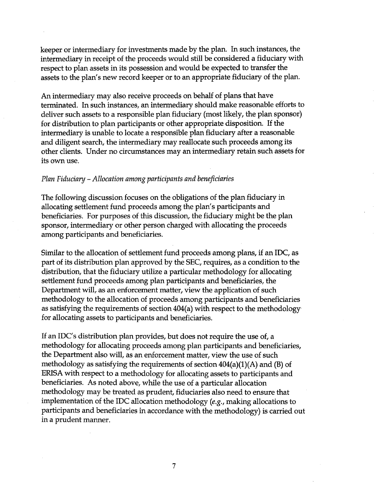keeper or intermediary for investments made by the plan. In such instances, the intermediary in receipt of the proceeds would still be considered a fiduciary with respect to plan assets in its possession and would be expected to transfer the assets to the plan's new record keeper or to an appropriate fiduciary of the plan.

An intermediary may also receive proceeds on behalf of plans that have terminated. In such instances, an intermediary should make reasonable efforts to deliver such assets to a responsible plan fiduciary (most likely, the plan sponsor) for distribution to plan participants or other appropriate disposition. If the intermediary is unable to locate a responsible plan fiduciary after a reasonable and diligent search, the intermediary may reallocate such proceeds among its other clients. Under no circumstances may an intermediary retain such assets for its own use.

#### Plan Fiduciary - Allocation among participants and beneficiaries

The following discussion focuses on the obligations of the plan fiduciary in allocating settlement fund proceeds among the plan's participants and beneficiaries. For purposes of this discussion, the fiduciary might be the plan sponsor, intermediary or other person charged with allocating the proceeds among participants and beneficiaries.

Similar to the allocation of settlement fund proceeds among plans, if an IDC, as part of its distribution plan approved by the SEC, requires, as a condition to the distribution, that the fiduciary utilize a particular methodology for allocating settlement fund proceeds among plan participants and beneficiaries, the Department will, as an enforcement matter, view the application of such methodology to the allocation of proceeds among participants and beneficiaries as satisfying the requirements of section  $404(a)$  with respect to the methodology for allocating assets to participants and beneficiaries.

If an IDC's distribution plan provides, but does not require the use of, a methodology for allocating proceeds among plan participants and beneficiaries, the Department also will, as an enforcement matter, view the use of such methodology as satisfying the requirements of section  $404(a)(1)(A)$  and (B) of ERISA with respect to a methodology for allocating assets to participants and beneficiaries. As noted above, while the use of a particular allocation methodology may be treated as prudent, fiduciaries also need to ensure that. implementation of the IDC allocation methodology ( $e.g.,$  making allocations to participants and beneficiaries in accordance with the methodology) is carried out in a prudent manner.

7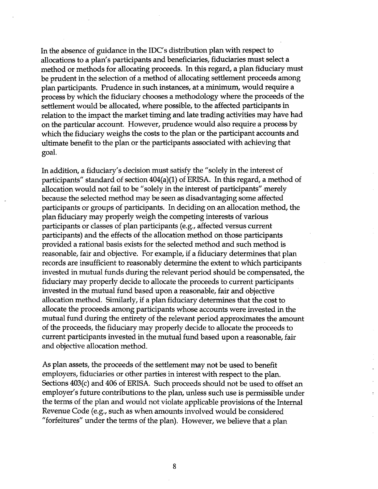In the absence of guidance in the IDC's distribution plan with respect to allocations to a plan's participants and beneficiaries, fiduciaries must select a method or methods for allocating proceeds. In this regard, a plan fiduciary must be prudent in the selection of a method of allocating settlement proceeds among plan participants. Prudence in such instances, at a minimum, would require a process by which the fiduciary chooses a methodology where the proceeds of the settlement would be allocated, where possible, to the affected participants in relation to the impact the market timing and late trading activities may have had on the particular account. However, prudence would also require a process by which the fiduciary weighs the costs to the plan or the participant accounts and ultimate benefit to the plan or the participants associated with achieving that goal.

In addition, a fiduciary's decision must satisfy the "solely in the interest of participants" standard of section  $404(a)(1)$  of ERISA. In this regard, a method of allocation would not fail to be "solely in the interest of participants" merely because the selected method may be seen as disadvantaging some affected participants or groups of participants. In deciding on an allocation method, the plan fiduciary may properly weigh the competing interests of various participants or classes of plan participants (e.g., affected versus current participants) and the effects of the allocation method on those participants provided a rational basis exists for the selected method and such method is reasonable, fair and objective. For example, if a fiduciary determines that plan records are insufficient to reasonably determine the extent to which participants invested in mutual funds during the relevant period should be compensated, the fiduciary may properly decide to allocate the proceeds to current participants invested in the mutual fund based upon a reasonable, fair and objective allocation method. Similarly, if a plan fiduciary determines that the cost to allocate the proceeds among participants whose accounts were invested in the mutual fund during the entirety of the relevant period approximates the amount of the proceeds, the fiduciary may properly decide to allocate the proceeds to current participants invested in the mutual fund based upon a reasonable, fair and objective allocation method.

As plan assets, the proceeds of the settlement may not be used to benefit employers, fiduciaries or other parties in interest with respect to the plan. Sections 403(c) and 406 of ERISA. Such proceeds should not be used to offset an employer's future contributions to the plan, unless such use is permissible under the terms of the plan and would not violate applicable provisions of the Internal Revenue Code (e.g., such as when amounts involved would be considered "forfeitures" under the terms of the plan). However, we believe that a plan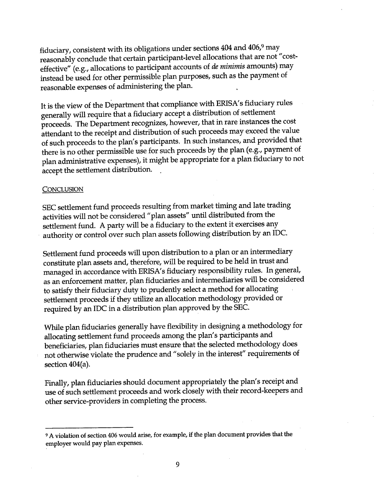fiduciary, consistent with its obligations under sections  $404$  and  $406$ ,  $9$  may reasonably conclude that certain participant-level allocations that are not "costeffective" (e.g., allocations to participant accounts of de minimis amounts) may instead be used for other permissible plan purposes, such as the payment of reasonable expenses of administering the plan.

It is the view of the Department that compliance with ERISA's fiduciary rules generally will require that a fiduciary accept a distribution of settlement proceeds. The Department recognizes, however, that in rare instances the cost attendant to the receipt and distribution of such proceeds may exceed the value of such proceeds to the plan's participants. In such instances, and provided that there is no other permissible use for such proceeds by the plan (e.g., payment of plan administrative expenses), it might be appropriate for a plan fiduciary to not accept the settlement distribution.

### **CONCLUSION**

SEC settlement fund proceeds resulting from market timing and late trading activities will not be considered "plan assets" until distributed from the settlement fund. A party will be a fiduciary to the extent it exercises any authority or control over such plan assets following distribution by an IDC.

Settlement fund proceeds will upon distribution to a plan or an intermediary constitute plan assets and, therefore, will be required to be held in trust and managed in accordance with ERISA's fiduciary responsibility rules. In general, as an enforcement matter, plan fiduciaries and intermediaries will be considered to satisfy their fiduciary duty to prudently select a method for allocating settlement proceeds if they utilize an allocation methodology provided or required by an IDC in a distribution plan approved by the SEC.

While plan fiduciaries generally have flexibility in designing a methodology for allocating settlement fund proceeds among the plan's participants and beneficiaries, plan fiduciaries must ensure that the selected methodology does not otherwise violate the prudence and "solely in the interest" requirements of section  $404(a)$ .

Finally, plan fiduciaries should document appropriately the plan's receipt and use of such settlement proceeds and work closely with their record-keepers and other service-providers in completing the process.

<sup>9</sup> A violation of section 406 would arise, for example, if the plan document provides that the employer would pay plan expenses.